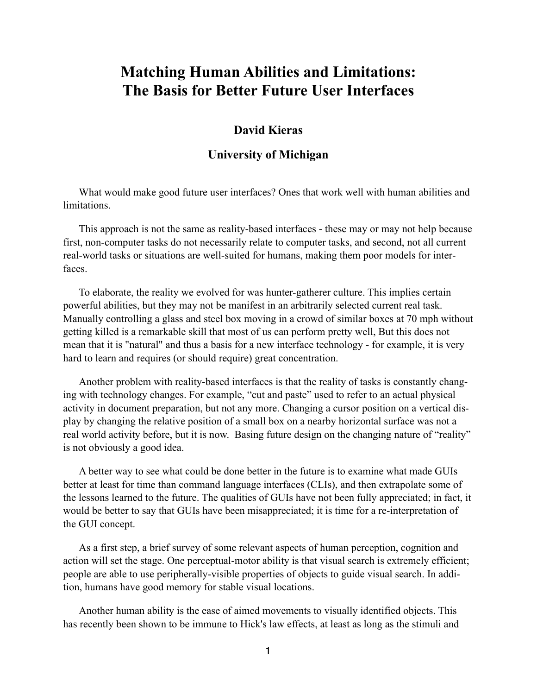## **Matching Human Abilities and Limitations: The Basis for Better Future User Interfaces**

## **David Kieras**

## **University of Michigan**

What would make good future user interfaces? Ones that work well with human abilities and limitations.

This approach is not the same as reality-based interfaces - these may or may not help because first, non-computer tasks do not necessarily relate to computer tasks, and second, not all current real-world tasks or situations are well-suited for humans, making them poor models for interfaces.

To elaborate, the reality we evolved for was hunter-gatherer culture. This implies certain powerful abilities, but they may not be manifest in an arbitrarily selected current real task. Manually controlling a glass and steel box moving in a crowd of similar boxes at 70 mph without getting killed is a remarkable skill that most of us can perform pretty well, But this does not mean that it is "natural" and thus a basis for a new interface technology - for example, it is very hard to learn and requires (or should require) great concentration.

Another problem with reality-based interfaces is that the reality of tasks is constantly changing with technology changes. For example, "cut and paste" used to refer to an actual physical activity in document preparation, but not any more. Changing a cursor position on a vertical display by changing the relative position of a small box on a nearby horizontal surface was not a real world activity before, but it is now. Basing future design on the changing nature of "reality" is not obviously a good idea.

A better way to see what could be done better in the future is to examine what made GUIs better at least for time than command language interfaces (CLIs), and then extrapolate some of the lessons learned to the future. The qualities of GUIs have not been fully appreciated; in fact, it would be better to say that GUIs have been misappreciated; it is time for a re-interpretation of the GUI concept.

As a first step, a brief survey of some relevant aspects of human perception, cognition and action will set the stage. One perceptual-motor ability is that visual search is extremely efficient; people are able to use peripherally-visible properties of objects to guide visual search. In addition, humans have good memory for stable visual locations.

Another human ability is the ease of aimed movements to visually identified objects. This has recently been shown to be immune to Hick's law effects, at least as long as the stimuli and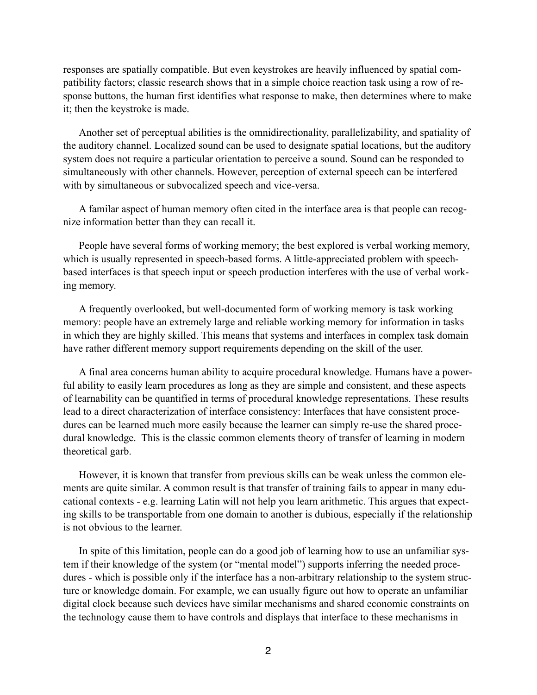responses are spatially compatible. But even keystrokes are heavily influenced by spatial compatibility factors; classic research shows that in a simple choice reaction task using a row of response buttons, the human first identifies what response to make, then determines where to make it; then the keystroke is made.

Another set of perceptual abilities is the omnidirectionality, parallelizability, and spatiality of the auditory channel. Localized sound can be used to designate spatial locations, but the auditory system does not require a particular orientation to perceive a sound. Sound can be responded to simultaneously with other channels. However, perception of external speech can be interfered with by simultaneous or subvocalized speech and vice-versa.

A familar aspect of human memory often cited in the interface area is that people can recognize information better than they can recall it.

People have several forms of working memory; the best explored is verbal working memory, which is usually represented in speech-based forms. A little-appreciated problem with speechbased interfaces is that speech input or speech production interferes with the use of verbal working memory.

A frequently overlooked, but well-documented form of working memory is task working memory: people have an extremely large and reliable working memory for information in tasks in which they are highly skilled. This means that systems and interfaces in complex task domain have rather different memory support requirements depending on the skill of the user.

A final area concerns human ability to acquire procedural knowledge. Humans have a powerful ability to easily learn procedures as long as they are simple and consistent, and these aspects of learnability can be quantified in terms of procedural knowledge representations. These results lead to a direct characterization of interface consistency: Interfaces that have consistent procedures can be learned much more easily because the learner can simply re-use the shared procedural knowledge. This is the classic common elements theory of transfer of learning in modern theoretical garb.

However, it is known that transfer from previous skills can be weak unless the common elements are quite similar. A common result is that transfer of training fails to appear in many educational contexts - e.g. learning Latin will not help you learn arithmetic. This argues that expecting skills to be transportable from one domain to another is dubious, especially if the relationship is not obvious to the learner.

In spite of this limitation, people can do a good job of learning how to use an unfamiliar system if their knowledge of the system (or "mental model") supports inferring the needed procedures - which is possible only if the interface has a non-arbitrary relationship to the system structure or knowledge domain. For example, we can usually figure out how to operate an unfamiliar digital clock because such devices have similar mechanisms and shared economic constraints on the technology cause them to have controls and displays that interface to these mechanisms in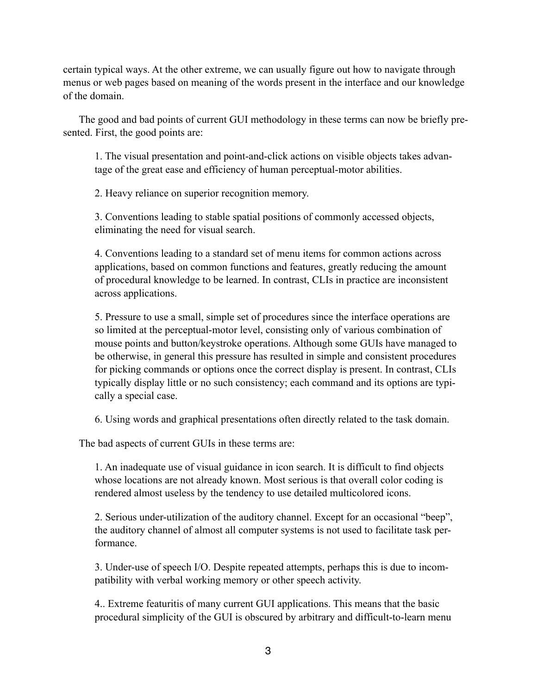certain typical ways. At the other extreme, we can usually figure out how to navigate through menus or web pages based on meaning of the words present in the interface and our knowledge of the domain.

The good and bad points of current GUI methodology in these terms can now be briefly presented. First, the good points are:

1. The visual presentation and point-and-click actions on visible objects takes advantage of the great ease and efficiency of human perceptual-motor abilities.

2. Heavy reliance on superior recognition memory.

3. Conventions leading to stable spatial positions of commonly accessed objects, eliminating the need for visual search.

4. Conventions leading to a standard set of menu items for common actions across applications, based on common functions and features, greatly reducing the amount of procedural knowledge to be learned. In contrast, CLIs in practice are inconsistent across applications.

5. Pressure to use a small, simple set of procedures since the interface operations are so limited at the perceptual-motor level, consisting only of various combination of mouse points and button/keystroke operations. Although some GUIs have managed to be otherwise, in general this pressure has resulted in simple and consistent procedures for picking commands or options once the correct display is present. In contrast, CLIs typically display little or no such consistency; each command and its options are typically a special case.

6. Using words and graphical presentations often directly related to the task domain.

The bad aspects of current GUIs in these terms are:

1. An inadequate use of visual guidance in icon search. It is difficult to find objects whose locations are not already known. Most serious is that overall color coding is rendered almost useless by the tendency to use detailed multicolored icons.

2. Serious under-utilization of the auditory channel. Except for an occasional "beep", the auditory channel of almost all computer systems is not used to facilitate task performance.

3. Under-use of speech I/O. Despite repeated attempts, perhaps this is due to incompatibility with verbal working memory or other speech activity.

4.. Extreme featuritis of many current GUI applications. This means that the basic procedural simplicity of the GUI is obscured by arbitrary and difficult-to-learn menu